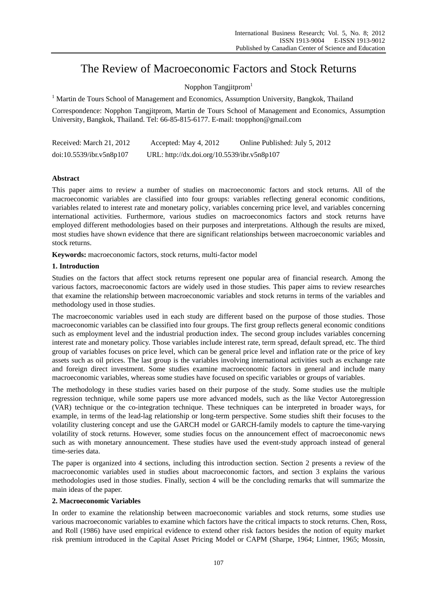# The Review of Macroeconomic Factors and Stock Returns

Nopphon Tangjitprom1

<sup>1</sup> Martin de Tours School of Management and Economics, Assumption University, Bangkok, Thailand

Correspondence: Nopphon Tangjitprom, Martin de Tours School of Management and Economics, Assumption University, Bangkok, Thailand. Tel: 66-85-815-6177. E-mail: tnopphon@gmail.com

| Received: March 21, 2012 | Accepted: May 4, 2012                       | Online Published: July 5, 2012 |
|--------------------------|---------------------------------------------|--------------------------------|
| doi:10.5539/ibr.v5n8p107 | URL: http://dx.doi.org/10.5539/ibr.v5n8p107 |                                |

# **Abstract**

This paper aims to review a number of studies on macroeconomic factors and stock returns. All of the macroeconomic variables are classified into four groups: variables reflecting general economic conditions, variables related to interest rate and monetary policy, variables concerning price level, and variables concerning international activities. Furthermore, various studies on macroeconomics factors and stock returns have employed different methodologies based on their purposes and interpretations. Although the results are mixed, most studies have shown evidence that there are significant relationships between macroeconomic variables and stock returns.

**Keywords:** macroeconomic factors, stock returns, multi-factor model

# **1. Introduction**

Studies on the factors that affect stock returns represent one popular area of financial research. Among the various factors, macroeconomic factors are widely used in those studies. This paper aims to review researches that examine the relationship between macroeconomic variables and stock returns in terms of the variables and methodology used in those studies.

The macroeconomic variables used in each study are different based on the purpose of those studies. Those macroeconomic variables can be classified into four groups. The first group reflects general economic conditions such as employment level and the industrial production index. The second group includes variables concerning interest rate and monetary policy. Those variables include interest rate, term spread, default spread, etc. The third group of variables focuses on price level, which can be general price level and inflation rate or the price of key assets such as oil prices. The last group is the variables involving international activities such as exchange rate and foreign direct investment. Some studies examine macroeconomic factors in general and include many macroeconomic variables, whereas some studies have focused on specific variables or groups of variables.

The methodology in these studies varies based on their purpose of the study. Some studies use the multiple regression technique, while some papers use more advanced models, such as the like Vector Autoregression (VAR) technique or the co-integration technique. These techniques can be interpreted in broader ways, for example, in terms of the lead-lag relationship or long-term perspective. Some studies shift their focuses to the volatility clustering concept and use the GARCH model or GARCH-family models to capture the time-varying volatility of stock returns. However, some studies focus on the announcement effect of macroeconomic news such as with monetary announcement. These studies have used the event-study approach instead of general time-series data.

The paper is organized into 4 sections, including this introduction section. Section 2 presents a review of the macroeconomic variables used in studies about macroeconomic factors, and section 3 explains the various methodologies used in those studies. Finally, section 4 will be the concluding remarks that will summarize the main ideas of the paper.

# **2. Macroeconomic Variables**

In order to examine the relationship between macroeconomic variables and stock returns, some studies use various macroeconomic variables to examine which factors have the critical impacts to stock returns. Chen, Ross, and Roll (1986) have used empirical evidence to extend other risk factors besides the notion of equity market risk premium introduced in the Capital Asset Pricing Model or CAPM (Sharpe, 1964; Lintner, 1965; Mossin,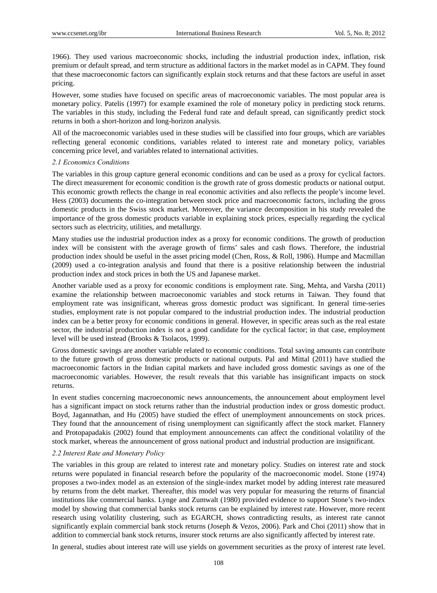1966). They used various macroeconomic shocks, including the industrial production index, inflation, risk premium or default spread, and term structure as additional factors in the market model as in CAPM. They found that these macroeconomic factors can significantly explain stock returns and that these factors are useful in asset pricing.

However, some studies have focused on specific areas of macroeconomic variables. The most popular area is monetary policy. Patelis (1997) for example examined the role of monetary policy in predicting stock returns. The variables in this study, including the Federal fund rate and default spread, can significantly predict stock returns in both a short-horizon and long-horizon analysis.

All of the macroeconomic variables used in these studies will be classified into four groups, which are variables reflecting general economic conditions, variables related to interest rate and monetary policy, variables concerning price level, and variables related to international activities.

# *2.1 Economics Conditions*

The variables in this group capture general economic conditions and can be used as a proxy for cyclical factors. The direct measurement for economic condition is the growth rate of gross domestic products or national output. This economic growth reflects the change in real economic activities and also reflects the people's income level. Hess (2003) documents the co-integration between stock price and macroeconomic factors, including the gross domestic products in the Swiss stock market. Moreover, the variance decomposition in his study revealed the importance of the gross domestic products variable in explaining stock prices, especially regarding the cyclical sectors such as electricity, utilities, and metallurgy.

Many studies use the industrial production index as a proxy for economic conditions. The growth of production index will be consistent with the average growth of firms' sales and cash flows. Therefore, the industrial production index should be useful in the asset pricing model (Chen, Ross, & Roll, 1986). Humpe and Macmillan (2009) used a co-integration analysis and found that there is a positive relationship between the industrial production index and stock prices in both the US and Japanese market.

Another variable used as a proxy for economic conditions is employment rate. Sing, Mehta, and Varsha (2011) examine the relationship between macroeconomic variables and stock returns in Taiwan. They found that employment rate was insignificant, whereas gross domestic product was significant. In general time-series studies, employment rate is not popular compared to the industrial production index. The industrial production index can be a better proxy for economic conditions in general. However, in specific areas such as the real estate sector, the industrial production index is not a good candidate for the cyclical factor; in that case, employment level will be used instead (Brooks & Tsolacos, 1999).

Gross domestic savings are another variable related to economic conditions. Total saving amounts can contribute to the future growth of gross domestic products or national outputs. Pal and Mittal (2011) have studied the macroeconomic factors in the Indian capital markets and have included gross domestic savings as one of the macroeconomic variables. However, the result reveals that this variable has insignificant impacts on stock returns.

In event studies concerning macroeconomic news announcements, the announcement about employment level has a significant impact on stock returns rather than the industrial production index or gross domestic product. Boyd, Jagannathan, and Hu (2005) have studied the effect of unemployment announcements on stock prices. They found that the announcement of rising unemployment can significantly affect the stock market. Flannery and Protopapadakis (2002) found that employment announcements can affect the conditional volatility of the stock market, whereas the announcement of gross national product and industrial production are insignificant.

# *2.2 Interest Rate and Monetary Policy*

The variables in this group are related to interest rate and monetary policy. Studies on interest rate and stock returns were populated in financial research before the popularity of the macroeconomic model. Stone (1974) proposes a two-index model as an extension of the single-index market model by adding interest rate measured by returns from the debt market. Thereafter, this model was very popular for measuring the returns of financial institutions like commercial banks. Lynge and Zumwalt (1980) provided evidence to support Stone's two-index model by showing that commercial banks stock returns can be explained by interest rate. However, more recent research using volatility clustering, such as EGARCH, shows contradicting results, as interest rate cannot significantly explain commercial bank stock returns (Joseph & Vezos, 2006). Park and Choi (2011) show that in addition to commercial bank stock returns, insurer stock returns are also significantly affected by interest rate.

In general, studies about interest rate will use yields on government securities as the proxy of interest rate level.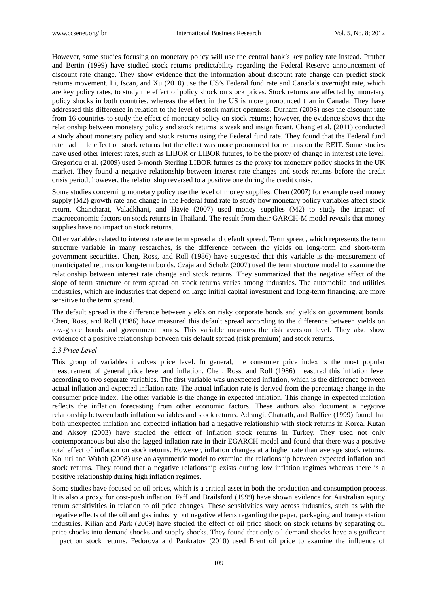However, some studies focusing on monetary policy will use the central bank's key policy rate instead. Prather and Bertin (1999) have studied stock returns predictability regarding the Federal Reserve announcement of discount rate change. They show evidence that the information about discount rate change can predict stock returns movement. Li, Iscan, and Xu (2010) use the US's Federal fund rate and Canada's overnight rate, which are key policy rates, to study the effect of policy shock on stock prices. Stock returns are affected by monetary policy shocks in both countries, whereas the effect in the US is more pronounced than in Canada. They have addressed this difference in relation to the level of stock market openness. Durham (2003) uses the discount rate from 16 countries to study the effect of monetary policy on stock returns; however, the evidence shows that the relationship between monetary policy and stock returns is weak and insignificant. Chang et al. (2011) conducted a study about monetary policy and stock returns using the Federal fund rate. They found that the Federal fund rate had little effect on stock returns but the effect was more pronounced for returns on the REIT. Some studies have used other interest rates, such as LIBOR or LIBOR futures, to be the proxy of change in interest rate level. Gregoriou et al. (2009) used 3-month Sterling LIBOR futures as the proxy for monetary policy shocks in the UK market. They found a negative relationship between interest rate changes and stock returns before the credit crisis period; however, the relationship reversed to a positive one during the credit crisis.

Some studies concerning monetary policy use the level of money supplies. Chen (2007) for example used money supply (M2) growth rate and change in the Federal fund rate to study how monetary policy variables affect stock return. Chancharat, Valadkhani, and Havie (2007) used money supplies (M2) to study the impact of macroeconomic factors on stock returns in Thailand. The result from their GARCH-M model reveals that money supplies have no impact on stock returns.

Other variables related to interest rate are term spread and default spread. Term spread, which represents the term structure variable in many researches, is the difference between the yields on long-term and short-term government securities. Chen, Ross, and Roll (1986) have suggested that this variable is the measurement of unanticipated returns on long-term bonds. Czaja and Scholz (2007) used the term structure model to examine the relationship between interest rate change and stock returns. They summarized that the negative effect of the slope of term structure or term spread on stock returns varies among industries. The automobile and utilities industries, which are industries that depend on large initial capital investment and long-term financing, are more sensitive to the term spread.

The default spread is the difference between yields on risky corporate bonds and yields on government bonds. Chen, Ross, and Roll (1986) have measured this default spread according to the difference between yields on low-grade bonds and government bonds. This variable measures the risk aversion level. They also show evidence of a positive relationship between this default spread (risk premium) and stock returns.

# *2.3 Price Level*

This group of variables involves price level. In general, the consumer price index is the most popular measurement of general price level and inflation. Chen, Ross, and Roll (1986) measured this inflation level according to two separate variables. The first variable was unexpected inflation, which is the difference between actual inflation and expected inflation rate. The actual inflation rate is derived from the percentage change in the consumer price index. The other variable is the change in expected inflation. This change in expected inflation reflects the inflation forecasting from other economic factors. These authors also document a negative relationship between both inflation variables and stock returns. Adrangi, Chatrath, and Raffiee (1999) found that both unexpected inflation and expected inflation had a negative relationship with stock returns in Korea. Kutan and Aksoy (2003) have studied the effect of inflation stock returns in Turkey. They used not only contemporaneous but also the lagged inflation rate in their EGARCH model and found that there was a positive total effect of inflation on stock returns. However, inflation changes at a higher rate than average stock returns. Kolluri and Wahab (2008) use an asymmetric model to examine the relationship between expected inflation and stock returns. They found that a negative relationship exists during low inflation regimes whereas there is a positive relationship during high inflation regimes.

Some studies have focused on oil prices, which is a critical asset in both the production and consumption process. It is also a proxy for cost-push inflation. Faff and Brailsford (1999) have shown evidence for Australian equity return sensitivities in relation to oil price changes. These sensitivities vary across industries, such as with the negative effects of the oil and gas industry but negative effects regarding the paper, packaging and transportation industries. Kilian and Park (2009) have studied the effect of oil price shock on stock returns by separating oil price shocks into demand shocks and supply shocks. They found that only oil demand shocks have a significant impact on stock returns. Fedorova and Pankratov (2010) used Brent oil price to examine the influence of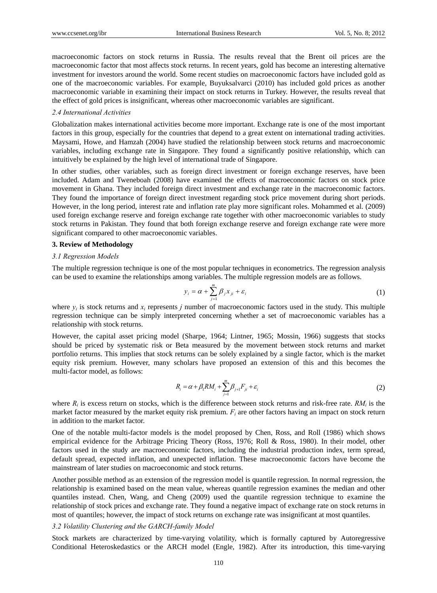macroeconomic factors on stock returns in Russia. The results reveal that the Brent oil prices are the macroeconomic factor that most affects stock returns. In recent years, gold has become an interesting alternative investment for investors around the world. Some recent studies on macroeconomic factors have included gold as one of the macroeconomic variables. For example, Buyuksalvarci (2010) has included gold prices as another macroeconomic variable in examining their impact on stock returns in Turkey. However, the results reveal that the effect of gold prices is insignificant, whereas other macroeconomic variables are significant.

# *2.4 International Activities*

Globalization makes international activities become more important. Exchange rate is one of the most important factors in this group, especially for the countries that depend to a great extent on international trading activities. Maysami, Howe, and Hamzah (2004) have studied the relationship between stock returns and macroeconomic variables, including exchange rate in Singapore. They found a significantly positive relationship, which can intuitively be explained by the high level of international trade of Singapore.

In other studies, other variables, such as foreign direct investment or foreign exchange reserves, have been included. Adam and Tweneboah (2008) have examined the effects of macroeconomic factors on stock price movement in Ghana. They included foreign direct investment and exchange rate in the macroeconomic factors. They found the importance of foreign direct investment regarding stock price movement during short periods. However, in the long period, interest rate and inflation rate play more significant roles. Mohammed et al. (2009) used foreign exchange reserve and foreign exchange rate together with other macroeconomic variables to study stock returns in Pakistan. They found that both foreign exchange reserve and foreign exchange rate were more significant compared to other macroeconomic variables.

#### **3. Review of Methodology**

# *3.1 Regression Models*

The multiple regression technique is one of the most popular techniques in econometrics. The regression analysis can be used to examine the relationships among variables. The multiple regression models are as follows.

$$
y_i = \alpha + \sum_{j=1}^{m} \beta_j x_{ji} + \varepsilon_i
$$
 (1)

where  $y_i$  is stock returns and  $x_i$  represents *j* number of macroeconomic factors used in the study. This multiple regression technique can be simply interpreted concerning whether a set of macroeconomic variables has a relationship with stock returns.

However, the capital asset pricing model (Sharpe, 1964; Lintner, 1965; Mossin, 1966) suggests that stocks should be priced by systematic risk or Beta measured by the movement between stock returns and market portfolio returns. This implies that stock returns can be solely explained by a single factor, which is the market equity risk premium. However, many scholars have proposed an extension of this and this becomes the multi-factor model, as follows:

$$
R_i = \alpha + \beta_1 RM_i + \sum_{j=1}^{m} \beta_{j+1} F_{ji} + \varepsilon_i
$$
\n(2)

where  $R_i$  is excess return on stocks, which is the difference between stock returns and risk-free rate.  $RM_i$  is the market factor measured by the market equity risk premium. *Fi* are other factors having an impact on stock return in addition to the market factor.

One of the notable multi-factor models is the model proposed by Chen, Ross, and Roll (1986) which shows empirical evidence for the Arbitrage Pricing Theory (Ross, 1976; Roll & Ross, 1980). In their model, other factors used in the study are macroeconomic factors, including the industrial production index, term spread, default spread, expected inflation, and unexpected inflation. These macroeconomic factors have become the mainstream of later studies on macroeconomic and stock returns.

Another possible method as an extension of the regression model is quantile regression. In normal regression, the relationship is examined based on the mean value, whereas quantile regression examines the median and other quantiles instead. Chen, Wang, and Cheng (2009) used the quantile regression technique to examine the relationship of stock prices and exchange rate. They found a negative impact of exchange rate on stock returns in most of quantiles; however, the impact of stock returns on exchange rate was insignificant at most quantiles.

## *3.2 Volatility Clustering and the GARCH-family Model*

Stock markets are characterized by time-varying volatility, which is formally captured by Autoregressive Conditional Heteroskedastics or the ARCH model (Engle, 1982). After its introduction, this time-varying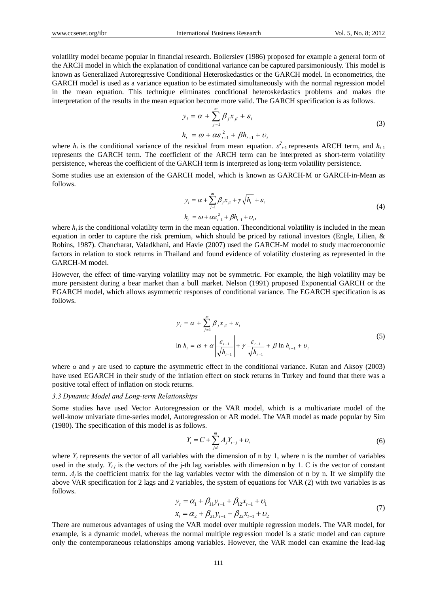volatility model became popular in financial research. Bollerslev (1986) proposed for example a general form of the ARCH model in which the explanation of conditional variance can be captured parsimoniously. This model is known as Generalized Autoregressive Conditional Heteroskedastics or the GARCH model. In econometrics, the GARCH model is used as a variance equation to be estimated simultaneously with the normal regression model in the mean equation. This technique eliminates conditional heteroskedastics problems and makes the interpretation of the results in the mean equation become more valid. The GARCH specification is as follows.

$$
y_i = \alpha + \sum_{j=1}^{m} \beta_j x_{ji} + \varepsilon_i
$$
  
\n
$$
h_t = \omega + \alpha \varepsilon_{t-1}^2 + \beta h_{t-1} + \nu_t
$$
\n(3)

where  $h_t$  is the conditional variance of the residual from mean equation.  $\varepsilon_{t-1}^2$  represents ARCH term, and  $h_{t-1}$ represents the GARCH term. The coefficient of the ARCH term can be interpreted as short-term volatility persistence, whereas the coefficient of the GARCH term is interpreted as long-term volatility persistence.

Some studies use an extension of the GARCH model, which is known as GARCH-M or GARCH-in-Mean as follows.

$$
y_{i} = \alpha + \sum_{j=1}^{m} \beta_{j} x_{ji} + \gamma \sqrt{h_{i}} + \varepsilon_{i}
$$
  
\n
$$
h_{t} = \omega + \alpha \varepsilon_{t-1}^{2} + \beta h_{t-1} + v_{t},
$$
\n(4)

where  $h_t$  is the conditional volatility term in the mean equation. The conditional volatility is included in the mean equation in order to capture the risk premium, which should be priced by rational investors (Engle, Lilien, & Robins, 1987). Chancharat, Valadkhani, and Havie (2007) used the GARCH-M model to study macroeconomic factors in relation to stock returns in Thailand and found evidence of volatility clustering as represented in the GARCH-M model.

However, the effect of time-varying volatility may not be symmetric. For example, the high volatility may be more persistent during a bear market than a bull market. Nelson (1991) proposed Exponential GARCH or the EGARCH model, which allows asymmetric responses of conditional variance. The EGARCH specification is as follows.

$$
y_{i} = \alpha + \sum_{j=1}^{m} \beta_{j} x_{ji} + \varepsilon_{i}
$$
  
\n
$$
\ln h_{i} = \omega + \alpha \left| \frac{\varepsilon_{i-1}}{\sqrt{h_{i-1}}} \right| + \gamma \frac{\varepsilon_{i-1}}{\sqrt{h_{i-1}}} + \beta \ln h_{i-1} + \nu_{i}
$$
\n(5)

where *α* and *γ* are used to capture the asymmetric effect in the conditional variance. Kutan and Aksoy (2003) have used EGARCH in their study of the inflation effect on stock returns in Turkey and found that there was a positive total effect of inflation on stock returns.

## *3.3 Dynamic Model and Long-term Relationships*

Some studies have used Vector Autoregression or the VAR model, which is a multivariate model of the well-know univariate time-series model, Autoregression or AR model. The VAR model as made popular by Sim (1980). The specification of this model is as follows.

$$
Y_t = C + \sum_{j=1}^{m} A_j Y_{t-j} + \nu_t
$$
\n(6)

where  $Y_t$  represents the vector of all variables with the dimension of n by 1, where n is the number of variables used in the study.  $Y_{t-j}$  is the vectors of the j-th lag variables with dimension n by 1. C is the vector of constant term.  $A_j$  is the coefficient matrix for the lag variables vector with the dimension of n by n. If we simplify the above VAR specification for 2 lags and 2 variables, the system of equations for VAR (2) with two variables is as follows.

$$
y_{t} = \alpha_{1} + \beta_{11}y_{t-1} + \beta_{12}x_{t-1} + \nu_{1}
$$
  
\n
$$
x_{t} = \alpha_{2} + \beta_{21}y_{t-1} + \beta_{22}x_{t-1} + \nu_{2}
$$
\n(7)

There are numerous advantages of using the VAR model over multiple regression models. The VAR model, for example, is a dynamic model, whereas the normal multiple regression model is a static model and can capture only the contemporaneous relationships among variables. However, the VAR model can examine the lead-lag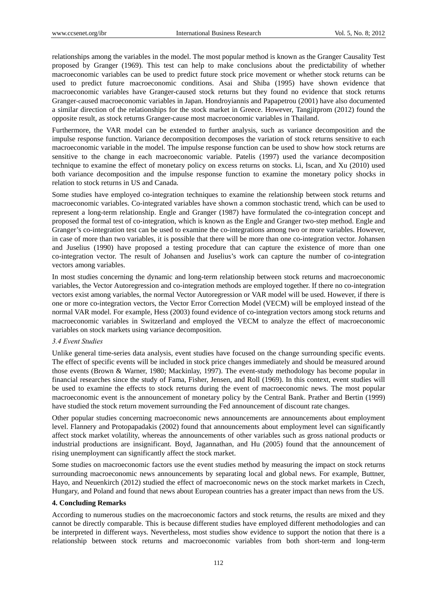relationships among the variables in the model. The most popular method is known as the Granger Causality Test proposed by Granger (1969). This test can help to make conclusions about the predictability of whether macroeconomic variables can be used to predict future stock price movement or whether stock returns can be used to predict future macroeconomic conditions. Asai and Shiba (1995) have shown evidence that macroeconomic variables have Granger-caused stock returns but they found no evidence that stock returns Granger-caused macroeconomic variables in Japan. Hondroyiannis and Papapetrou (2001) have also documented a similar direction of the relationships for the stock market in Greece. However, Tangjitprom (2012) found the opposite result, as stock returns Granger-cause most macroeconomic variables in Thailand.

Furthermore, the VAR model can be extended to further analysis, such as variance decomposition and the impulse response function. Variance decomposition decomposes the variation of stock returns sensitive to each macroeconomic variable in the model. The impulse response function can be used to show how stock returns are sensitive to the change in each macroeconomic variable. Patelis (1997) used the variance decomposition technique to examine the effect of monetary policy on excess returns on stocks. Li, Iscan, and Xu (2010) used both variance decomposition and the impulse response function to examine the monetary policy shocks in relation to stock returns in US and Canada.

Some studies have employed co-integration techniques to examine the relationship between stock returns and macroeconomic variables. Co-integrated variables have shown a common stochastic trend, which can be used to represent a long-term relationship. Engle and Granger (1987) have formulated the co-integration concept and proposed the formal test of co-integration, which is known as the Engle and Granger two-step method. Engle and Granger's co-integration test can be used to examine the co-integrations among two or more variables. However, in case of more than two variables, it is possible that there will be more than one co-integration vector. Johansen and Juselius (1990) have proposed a testing procedure that can capture the existence of more than one co-integration vector. The result of Johansen and Juselius's work can capture the number of co-integration vectors among variables.

In most studies concerning the dynamic and long-term relationship between stock returns and macroeconomic variables, the Vector Autoregression and co-integration methods are employed together. If there no co-integration vectors exist among variables, the normal Vector Autoregression or VAR model will be used. However, if there is one or more co-integration vectors, the Vector Error Correction Model (VECM) will be employed instead of the normal VAR model. For example, Hess (2003) found evidence of co-integration vectors among stock returns and macroeconomic variables in Switzerland and employed the VECM to analyze the effect of macroeconomic variables on stock markets using variance decomposition.

#### *3.4 Event Studies*

Unlike general time-series data analysis, event studies have focused on the change surrounding specific events. The effect of specific events will be included in stock price changes immediately and should be measured around those events (Brown & Warner, 1980; Mackinlay, 1997). The event-study methodology has become popular in financial researches since the study of Fama, Fisher, Jensen, and Roll (1969). In this context, event studies will be used to examine the effects to stock returns during the event of macroeconomic news. The most popular macroeconomic event is the announcement of monetary policy by the Central Bank. Prather and Bertin (1999) have studied the stock return movement surrounding the Fed announcement of discount rate changes.

Other popular studies concerning macroeconomic news announcements are announcements about employment level. Flannery and Protopapadakis (2002) found that announcements about employment level can significantly affect stock market volatility, whereas the announcements of other variables such as gross national products or industrial productions are insignificant. Boyd, Jagannathan, and Hu (2005) found that the announcement of rising unemployment can significantly affect the stock market.

Some studies on macroeconomic factors use the event studies method by measuring the impact on stock returns surrounding macroeconomic news announcements by separating local and global news. For example, Buttner, Hayo, and Neuenkirch (2012) studied the effect of macroeconomic news on the stock market markets in Czech, Hungary, and Poland and found that news about European countries has a greater impact than news from the US.

## **4. Concluding Remarks**

According to numerous studies on the macroeconomic factors and stock returns, the results are mixed and they cannot be directly comparable. This is because different studies have employed different methodologies and can be interpreted in different ways. Nevertheless, most studies show evidence to support the notion that there is a relationship between stock returns and macroeconomic variables from both short-term and long-term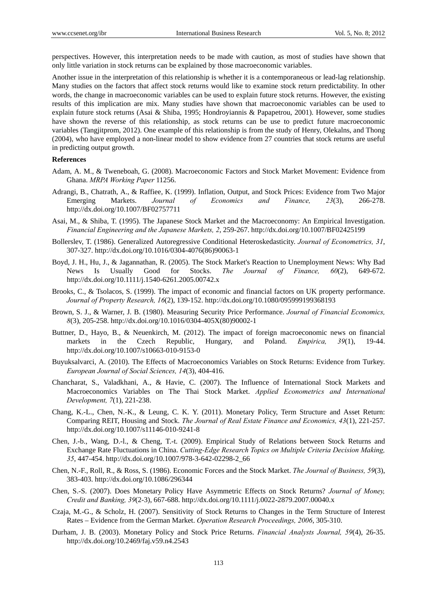perspectives. However, this interpretation needs to be made with caution, as most of studies have shown that only little variation in stock returns can be explained by those macroeconomic variables.

Another issue in the interpretation of this relationship is whether it is a contemporaneous or lead-lag relationship. Many studies on the factors that affect stock returns would like to examine stock return predictability. In other words, the change in macroeconomic variables can be used to explain future stock returns. However, the existing results of this implication are mix. Many studies have shown that macroeconomic variables can be used to explain future stock returns (Asai & Shiba, 1995; Hondroyiannis & Papapetrou, 2001). However, some studies have shown the reverse of this relationship, as stock returns can be use to predict future macroeconomic variables (Tangjitprom, 2012). One example of this relationship is from the study of Henry, Olekalns, and Thong (2004), who have employed a non-linear model to show evidence from 27 countries that stock returns are useful in predicting output growth.

## **References**

- Adam, A. M., & Tweneboah, G. (2008). Macroeconomic Factors and Stock Market Movement: Evidence from Ghana. *MRPA Working Paper* 11256.
- Adrangi, B., Chatrath, A., & Raffiee, K. (1999). Inflation, Output, and Stock Prices: Evidence from Two Major Emerging Markets. *Journal of Economics and Finance, 23*(3), 266-278. http://dx.doi.org/10.1007/BF02757711
- Asai, M., & Shiba, T. (1995). The Japanese Stock Market and the Macroeconomy: An Empirical Investigation. *Financial Engineering and the Japanese Markets, 2*, 259-267. http://dx.doi.org/10.1007/BF02425199
- Bollerslev, T. (1986). Generalized Autoregressive Conditional Heteroskedasticity. *Journal of Econometrics, 31*, 307-327. http://dx.doi.org/10.1016/0304-4076(86)90063-1
- Boyd, J. H., Hu, J., & Jagannathan, R. (2005). The Stock Market's Reaction to Unemployment News: Why Bad News Is Usually Good for Stocks. *The Journal of Finance, 60*(2), 649-672. http://dx.doi.org/10.1111/j.1540-6261.2005.00742.x
- Brooks, C., & Tsolacos, S. (1999). The impact of economic and financial factors on UK property performance. *Journal of Property Research, 16*(2), 139-152. http://dx.doi.org/10.1080/095999199368193
- Brown, S. J., & Warner, J. B. (1980). Measuring Security Price Performance. *Journal of Financial Economics, 8*(3), 205-258. http://dx.doi.org/10.1016/0304-405X(80)90002-1
- Buttner, D., Hayo, B., & Neuenkirch, M. (2012). The impact of foreign macroeconomic news on financial markets in the Czech Republic, Hungary, and Poland. *Empirica, 39*(1), 19-44. http://dx.doi.org/10.1007/s10663-010-9153-0
- Buyuksalvarci, A. (2010). The Effects of Macroeconomics Variables on Stock Returns: Evidence from Turkey. *European Journal of Social Sciences, 14*(3), 404-416.
- Chancharat, S., Valadkhani, A., & Havie, C. (2007). The Influence of International Stock Markets and Macroeconomics Variables on The Thai Stock Market. *Applied Econometrics and International Development, 7*(1), 221-238.
- Chang, K.-L., Chen, N.-K., & Leung, C. K. Y. (2011). Monetary Policy, Term Structure and Asset Return: Comparing REIT, Housing and Stock. *The Journal of Real Estate Finance and Economics, 43*(1), 221-257. http://dx.doi.org/10.1007/s11146-010-9241-8
- Chen, J.-b., Wang, D.-l., & Cheng, T.-t. (2009). Empirical Study of Relations between Stock Returns and Exchange Rate Fluctuations in China. *Cutting-Edge Research Topics on Multiple Criteria Decision Making, 35*, 447-454. http://dx.doi.org/10.1007/978-3-642-02298-2\_66
- Chen, N.-F., Roll, R., & Ross, S. (1986). Economic Forces and the Stock Market. *The Journal of Business, 59*(3), 383-403. http://dx.doi.org/10.1086/296344
- Chen, S.-S. (2007). Does Monetary Policy Have Asymmetric Effects on Stock Returns? *Journal of Money, Credit and Banking, 39*(2-3), 667-688. http://dx.doi.org/10.1111/j.0022-2879.2007.00040.x
- Czaja, M.-G., & Scholz, H. (2007). Sensitivity of Stock Returns to Changes in the Term Structure of Interest Rates – Evidence from the German Market. *Operation Research Proceedings, 2006*, 305-310.
- Durham, J. B. (2003). Monetary Policy and Stock Price Returns. *Financial Analysts Journal, 59*(4), 26-35. http://dx.doi.org/10.2469/faj.v59.n4.2543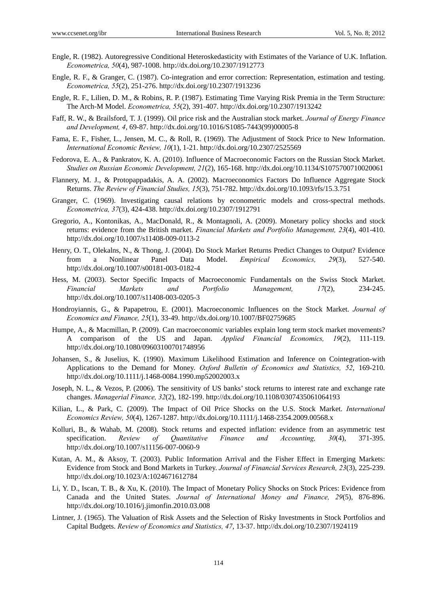- Engle, R. (1982). Autoregressive Conditional Heteroskedasticity with Estimates of the Variance of U.K. Inflation. *Econometrica, 50*(4), 987-1008. http://dx.doi.org/10.2307/1912773
- Engle, R. F., & Granger, C. (1987). Co-integration and error correction: Representation, estimation and testing. *Econometrica, 55*(2), 251-276. http://dx.doi.org/10.2307/1913236
- Engle, R. F., Lilien, D. M., & Robins, R. P. (1987). Estimating Time Varying Risk Premia in the Term Structure: The Arch-M Model. *Econometrica, 55*(2), 391-407. http://dx.doi.org/10.2307/1913242
- Faff, R. W., & Brailsford, T. J. (1999). Oil price risk and the Australian stock market. *Journal of Energy Finance and Development, 4*, 69-87. http://dx.doi.org/10.1016/S1085-7443(99)00005-8
- Fama, E. F., Fisher, L., Jensen, M. C., & Roll, R. (1969). The Adjustment of Stock Price to New Information. *International Economic Review, 10*(1), 1-21. http://dx.doi.org/10.2307/2525569
- Fedorova, E. A., & Pankratov, K. A. (2010). Influence of Macroeconomic Factors on the Russian Stock Market. *Studies on Russian Economic Development, 21*(2), 165-168. http://dx.doi.org/10.1134/S1075700710020061
- Flannery, M. J., & Protopappadakis, A. A. (2002). Macroeconomics Factors Do Influence Aggregate Stock Returns. *The Review of Financial Studies, 15*(3), 751-782. http://dx.doi.org/10.1093/rfs/15.3.751
- Granger, C. (1969). Investigating causal relations by econometric models and cross-spectral methods. *Econometrica, 37*(3), 424-438. http://dx.doi.org/10.2307/1912791
- Gregorio, A., Kontonikas, A., MacDonald, R., & Montagnoli, A. (2009). Monetary policy shocks and stock returns: evidence from the British market. *Financial Markets and Portfolio Management, 23*(4), 401-410. http://dx.doi.org/10.1007/s11408-009-0113-2
- Henry, O. T., Olekalns, N., & Thong, J. (2004). Do Stock Market Returns Predict Changes to Output? Evidence from a Nonlinear Panel Data Model. *Empirical Economics, 29*(3), 527-540. http://dx.doi.org/10.1007/s00181-003-0182-4
- Hess, M. (2003). Sector Specific Impacts of Macroeconomic Fundamentals on the Swiss Stock Market. *Financial Markets and Portfolio Management, 17*(2), 234-245. http://dx.doi.org/10.1007/s11408-003-0205-3
- Hondroyiannis, G., & Papapetrou, E. (2001). Macroeconomic Influences on the Stock Market. *Journal of Economics and Finance, 25*(1), 33-49. http://dx.doi.org/10.1007/BF02759685
- Humpe, A., & Macmillan, P. (2009). Can macroeconomic variables explain long term stock market movements? A comparison of the US and Japan. *Applied Financial Economics, 19*(2), 111-119. http://dx.doi.org/10.1080/09603100701748956
- Johansen, S., & Juselius, K. (1990). Maximum Likelihood Estimation and Inference on Cointegration-with Applications to the Demand for Money. *Oxford Bulletin of Economics and Statistics, 52*, 169-210. http://dx.doi.org/10.1111/j.1468-0084.1990.mp52002003.x
- Joseph, N. L., & Vezos, P. (2006). The sensitivity of US banks' stock returns to interest rate and exchange rate changes. *Managerial Finance, 32*(2), 182-199. http://dx.doi.org/10.1108/0307435061064193
- Kilian, L., & Park, C. (2009). The Impact of Oil Price Shocks on the U.S. Stock Market. *International Economics Review, 50*(4), 1267-1287. http://dx.doi.org/10.1111/j.1468-2354.2009.00568.x
- Kolluri, B., & Wahab, M. (2008). Stock returns and expected inflation: evidence from an asymmetric test specification. *Review of Quantitative Finance and Accounting, 30*(4), 371-395. http://dx.doi.org/10.1007/s11156-007-0060-9
- Kutan, A. M., & Aksoy, T. (2003). Public Information Arrival and the Fisher Effect in Emerging Markets: Evidence from Stock and Bond Markets in Turkey. *Journal of Financial Services Research, 23*(3), 225-239. http://dx.doi.org/10.1023/A:1024671612784
- Li, Y. D., Iscan, T. B., & Xu, K. (2010). The Impact of Monetary Policy Shocks on Stock Prices: Evidence from Canada and the United States. *Journal of International Money and Finance, 29*(5), 876-896. http://dx.doi.org/10.1016/j.jimonfin.2010.03.008
- Lintner, J. (1965). The Valuation of Risk Assets and the Selection of Risky Investments in Stock Portfolios and Capital Budgets. *Review of Economics and Statistics, 47*, 13-37. http://dx.doi.org/10.2307/1924119